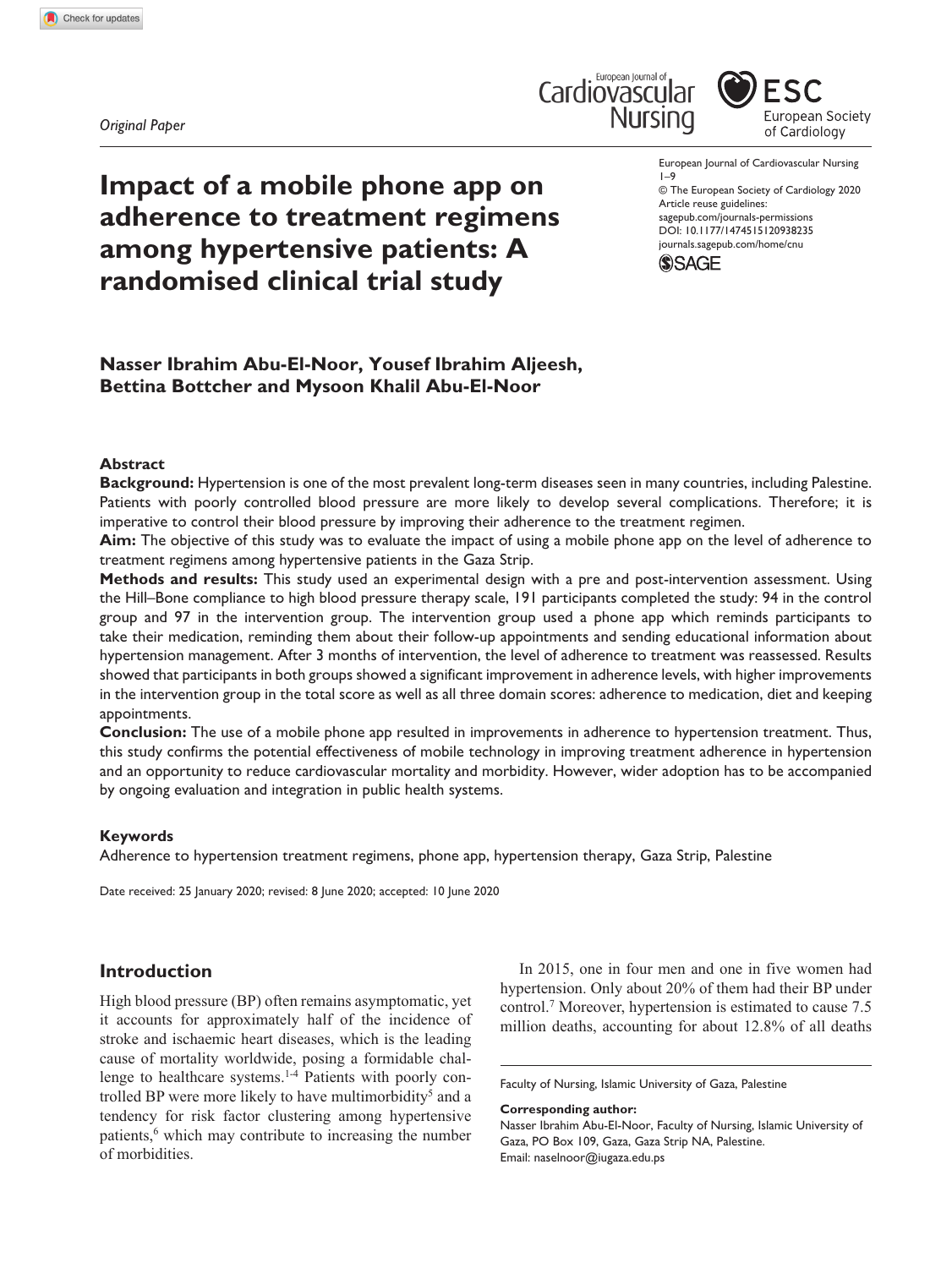*Original Paper*





**Impact of a mobile phone app on adherence to treatment regimens among hypertensive patients: A randomised clinical trial study**

European Journal of Cardiovascular Nursing 1–9

DOI: 10.1177/1474515120938235 © The European Society of Cardiology 2020 Article reuse guidelines: [sagepub.com/journals-permissions](https://uk.sagepub.com/en-gb/journals-permissions) [journals.sagepub.com/home/cnu](https://journals.sagepub.com/home/cnu)



# **Nasser Ibrahim Abu-El-Noor, Yousef Ibrahim Aljeesh, Bettina Bottcher and Mysoon Khalil Abu-El-Noor**

### **Abstract**

**Background:** Hypertension is one of the most prevalent long-term diseases seen in many countries, including Palestine. Patients with poorly controlled blood pressure are more likely to develop several complications. Therefore; it is imperative to control their blood pressure by improving their adherence to the treatment regimen.

**Aim:** The objective of this study was to evaluate the impact of using a mobile phone app on the level of adherence to treatment regimens among hypertensive patients in the Gaza Strip.

**Methods and results:** This study used an experimental design with a pre and post-intervention assessment. Using the Hill–Bone compliance to high blood pressure therapy scale, 191 participants completed the study: 94 in the control group and 97 in the intervention group. The intervention group used a phone app which reminds participants to take their medication, reminding them about their follow-up appointments and sending educational information about hypertension management. After 3 months of intervention, the level of adherence to treatment was reassessed. Results showed that participants in both groups showed a significant improvement in adherence levels, with higher improvements in the intervention group in the total score as well as all three domain scores: adherence to medication, diet and keeping appointments.

**Conclusion:** The use of a mobile phone app resulted in improvements in adherence to hypertension treatment. Thus, this study confirms the potential effectiveness of mobile technology in improving treatment adherence in hypertension and an opportunity to reduce cardiovascular mortality and morbidity. However, wider adoption has to be accompanied by ongoing evaluation and integration in public health systems.

### **Keywords**

Adherence to hypertension treatment regimens, phone app, hypertension therapy, Gaza Strip, Palestine

Date received: 25 January 2020; revised: 8 June 2020; accepted: 10 June 2020

# **Introduction**

High blood pressure (BP) often remains asymptomatic, yet it accounts for approximately half of the incidence of stroke and ischaemic heart diseases, which is the leading cause of mortality worldwide, posing a formidable challenge to healthcare systems.<sup>1-4</sup> Patients with poorly controlled BP were more likely to have multimorbidity<sup>5</sup> and a tendency for risk factor clustering among hypertensive patients,<sup>6</sup> which may contribute to increasing the number of morbidities.

In 2015, one in four men and one in five women had hypertension. Only about 20% of them had their BP under control.7 Moreover, hypertension is estimated to cause 7.5 million deaths, accounting for about 12.8% of all deaths

**Corresponding author:**

Faculty of Nursing, Islamic University of Gaza, Palestine

Nasser Ibrahim Abu-El-Noor, Faculty of Nursing, Islamic University of Gaza, PO Box 109, Gaza, Gaza Strip NA, Palestine. Email: [naselnoor@iugaza.edu.ps](mailto:naselnoor@iugaza.edu.ps)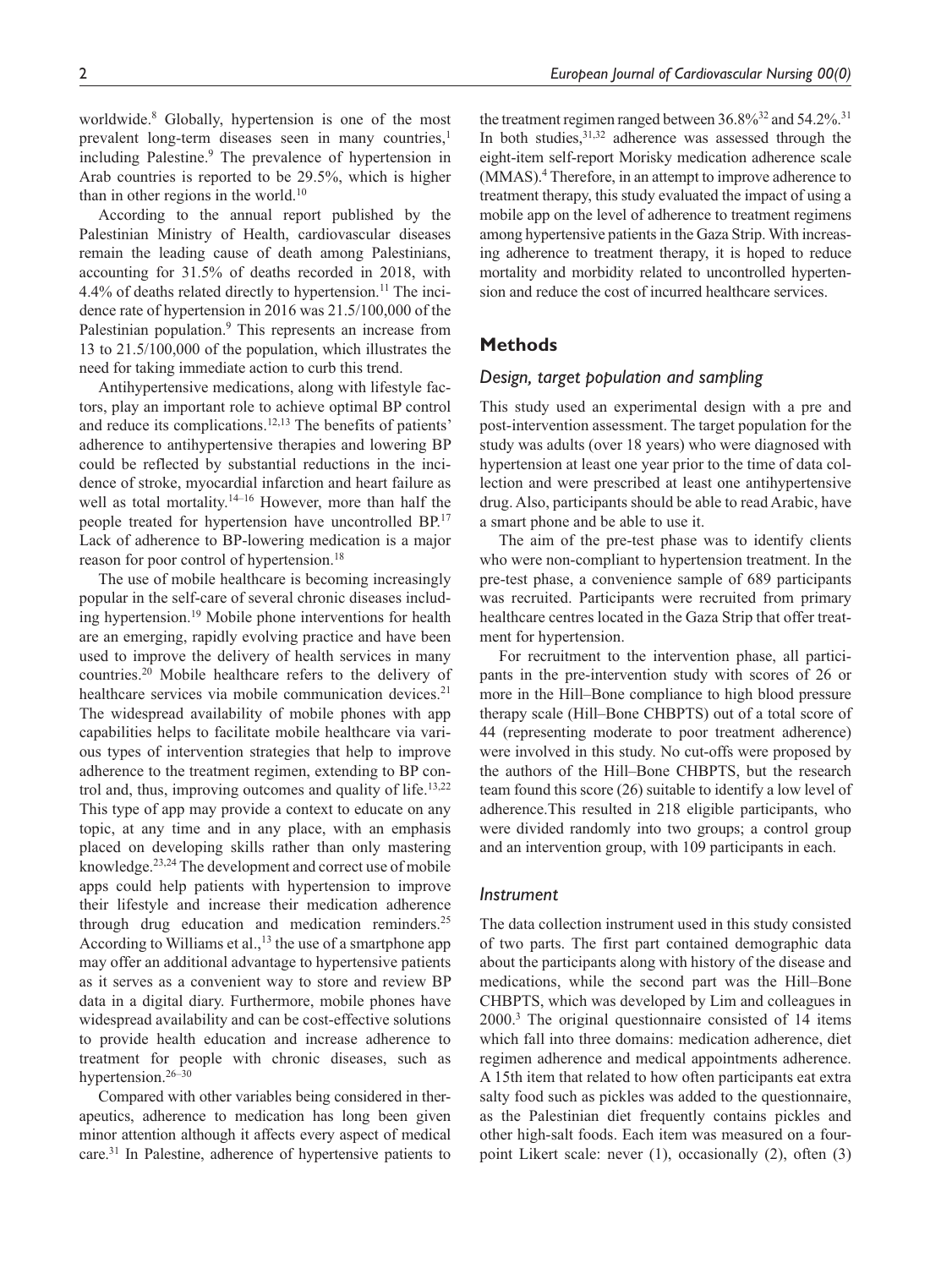worldwide.8 Globally, hypertension is one of the most prevalent long-term diseases seen in many countries,<sup>1</sup> including Palestine.<sup>9</sup> The prevalence of hypertension in Arab countries is reported to be 29.5%, which is higher than in other regions in the world.<sup>10</sup>

According to the annual report published by the Palestinian Ministry of Health, cardiovascular diseases remain the leading cause of death among Palestinians, accounting for 31.5% of deaths recorded in 2018, with 4.4% of deaths related directly to hypertension.<sup>11</sup> The incidence rate of hypertension in 2016 was 21.5/100,000 of the Palestinian population.<sup>9</sup> This represents an increase from 13 to 21.5/100,000 of the population, which illustrates the need for taking immediate action to curb this trend.

Antihypertensive medications, along with lifestyle factors, play an important role to achieve optimal BP control and reduce its complications.12,13 The benefits of patients' adherence to antihypertensive therapies and lowering BP could be reflected by substantial reductions in the incidence of stroke, myocardial infarction and heart failure as well as total mortality.<sup>14–16</sup> However, more than half the people treated for hypertension have uncontrolled BP.17 Lack of adherence to BP-lowering medication is a major reason for poor control of hypertension.<sup>18</sup>

The use of mobile healthcare is becoming increasingly popular in the self-care of several chronic diseases including hypertension.<sup>19</sup> Mobile phone interventions for health are an emerging, rapidly evolving practice and have been used to improve the delivery of health services in many countries.20 Mobile healthcare refers to the delivery of healthcare services via mobile communication devices.<sup>21</sup> The widespread availability of mobile phones with app capabilities helps to facilitate mobile healthcare via various types of intervention strategies that help to improve adherence to the treatment regimen, extending to BP control and, thus, improving outcomes and quality of life.<sup>13,22</sup> This type of app may provide a context to educate on any topic, at any time and in any place, with an emphasis placed on developing skills rather than only mastering knowledge.<sup>23,24</sup> The development and correct use of mobile apps could help patients with hypertension to improve their lifestyle and increase their medication adherence through drug education and medication reminders.<sup>25</sup> According to Williams et al.,  $^{13}$  the use of a smartphone app may offer an additional advantage to hypertensive patients as it serves as a convenient way to store and review BP data in a digital diary. Furthermore, mobile phones have widespread availability and can be cost-effective solutions to provide health education and increase adherence to treatment for people with chronic diseases, such as hypertension.<sup>26–30</sup>

Compared with other variables being considered in therapeutics, adherence to medication has long been given minor attention although it affects every aspect of medical care.31 In Palestine, adherence of hypertensive patients to

the treatment regimen ranged between  $36.8\%^{32}$  and  $54.2\%^{31}$ In both studies, $31,32$  adherence was assessed through the eight-item self-report Morisky medication adherence scale (MMAS).4 Therefore, in an attempt to improve adherence to treatment therapy, this study evaluated the impact of using a mobile app on the level of adherence to treatment regimens among hypertensive patients in the Gaza Strip. With increasing adherence to treatment therapy, it is hoped to reduce mortality and morbidity related to uncontrolled hypertension and reduce the cost of incurred healthcare services.

# **Methods**

#### *Design, target population and sampling*

This study used an experimental design with a pre and post-intervention assessment. The target population for the study was adults (over 18 years) who were diagnosed with hypertension at least one year prior to the time of data collection and were prescribed at least one antihypertensive drug. Also, participants should be able to read Arabic, have a smart phone and be able to use it.

The aim of the pre-test phase was to identify clients who were non-compliant to hypertension treatment. In the pre-test phase, a convenience sample of 689 participants was recruited. Participants were recruited from primary healthcare centres located in the Gaza Strip that offer treatment for hypertension.

For recruitment to the intervention phase, all participants in the pre-intervention study with scores of 26 or more in the Hill–Bone compliance to high blood pressure therapy scale (Hill–Bone CHBPTS) out of a total score of 44 (representing moderate to poor treatment adherence) were involved in this study. No cut-offs were proposed by the authors of the Hill–Bone CHBPTS, but the research team found this score (26) suitable to identify a low level of adherence.This resulted in 218 eligible participants, who were divided randomly into two groups; a control group and an intervention group, with 109 participants in each.

#### *Instrument*

The data collection instrument used in this study consisted of two parts. The first part contained demographic data about the participants along with history of the disease and medications, while the second part was the Hill–Bone CHBPTS, which was developed by Lim and colleagues in 2000.3 The original questionnaire consisted of 14 items which fall into three domains: medication adherence, diet regimen adherence and medical appointments adherence. A 15th item that related to how often participants eat extra salty food such as pickles was added to the questionnaire, as the Palestinian diet frequently contains pickles and other high-salt foods. Each item was measured on a fourpoint Likert scale: never (1), occasionally (2), often (3)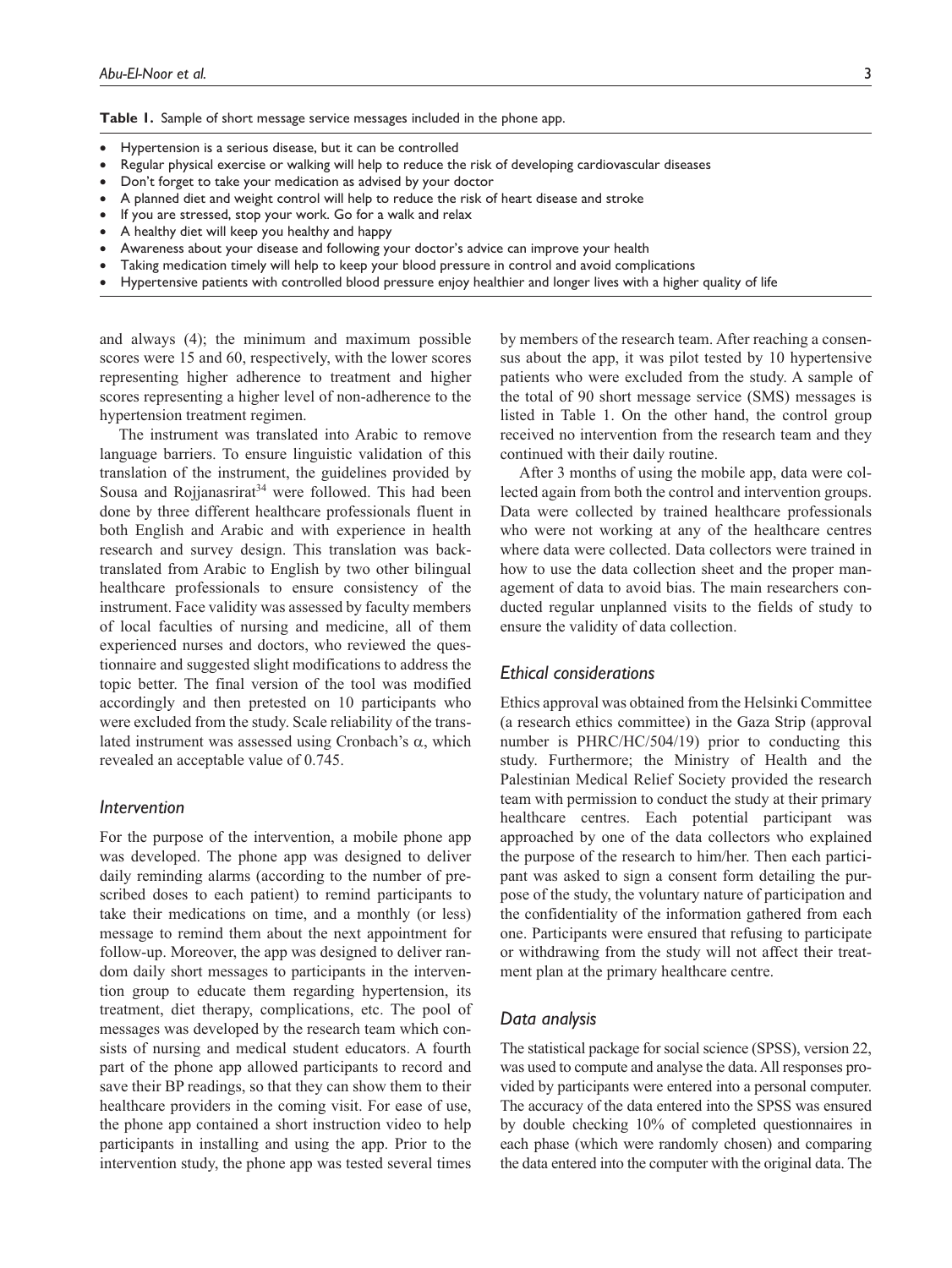**Table 1.** Sample of short message service messages included in the phone app.

- Hypertension is a serious disease, but it can be controlled
- Regular physical exercise or walking will help to reduce the risk of developing cardiovascular diseases
- Don't forget to take your medication as advised by your doctor
- A planned diet and weight control will help to reduce the risk of heart disease and stroke
- If you are stressed, stop your work. Go for a walk and relax
- A healthy diet will keep you healthy and happy
- Awareness about your disease and following your doctor's advice can improve your health
- Taking medication timely will help to keep your blood pressure in control and avoid complications
- Hypertensive patients with controlled blood pressure enjoy healthier and longer lives with a higher quality of life

and always (4); the minimum and maximum possible scores were 15 and 60, respectively, with the lower scores representing higher adherence to treatment and higher scores representing a higher level of non-adherence to the hypertension treatment regimen.

The instrument was translated into Arabic to remove language barriers. To ensure linguistic validation of this translation of the instrument, the guidelines provided by Sousa and Rojjanasrirat<sup>34</sup> were followed. This had been done by three different healthcare professionals fluent in both English and Arabic and with experience in health research and survey design. This translation was backtranslated from Arabic to English by two other bilingual healthcare professionals to ensure consistency of the instrument. Face validity was assessed by faculty members of local faculties of nursing and medicine, all of them experienced nurses and doctors, who reviewed the questionnaire and suggested slight modifications to address the topic better. The final version of the tool was modified accordingly and then pretested on 10 participants who were excluded from the study. Scale reliability of the translated instrument was assessed using Cronbach's α, which revealed an acceptable value of 0.745.

#### *Intervention*

For the purpose of the intervention, a mobile phone app was developed. The phone app was designed to deliver daily reminding alarms (according to the number of prescribed doses to each patient) to remind participants to take their medications on time, and a monthly (or less) message to remind them about the next appointment for follow-up. Moreover, the app was designed to deliver random daily short messages to participants in the intervention group to educate them regarding hypertension, its treatment, diet therapy, complications, etc. The pool of messages was developed by the research team which consists of nursing and medical student educators. A fourth part of the phone app allowed participants to record and save their BP readings, so that they can show them to their healthcare providers in the coming visit. For ease of use, the phone app contained a short instruction video to help participants in installing and using the app. Prior to the intervention study, the phone app was tested several times

by members of the research team. After reaching a consensus about the app, it was pilot tested by 10 hypertensive patients who were excluded from the study. A sample of the total of 90 short message service (SMS) messages is listed in Table 1. On the other hand, the control group received no intervention from the research team and they continued with their daily routine.

After 3 months of using the mobile app, data were collected again from both the control and intervention groups. Data were collected by trained healthcare professionals who were not working at any of the healthcare centres where data were collected. Data collectors were trained in how to use the data collection sheet and the proper management of data to avoid bias. The main researchers conducted regular unplanned visits to the fields of study to ensure the validity of data collection.

### *Ethical considerations*

Ethics approval was obtained from the Helsinki Committee (a research ethics committee) in the Gaza Strip (approval number is PHRC/HC/504/19) prior to conducting this study. Furthermore; the Ministry of Health and the Palestinian Medical Relief Society provided the research team with permission to conduct the study at their primary healthcare centres. Each potential participant was approached by one of the data collectors who explained the purpose of the research to him/her. Then each participant was asked to sign a consent form detailing the purpose of the study, the voluntary nature of participation and the confidentiality of the information gathered from each one. Participants were ensured that refusing to participate or withdrawing from the study will not affect their treatment plan at the primary healthcare centre.

### *Data analysis*

The statistical package for social science (SPSS), version 22, was used to compute and analyse the data. All responses provided by participants were entered into a personal computer. The accuracy of the data entered into the SPSS was ensured by double checking 10% of completed questionnaires in each phase (which were randomly chosen) and comparing the data entered into the computer with the original data. The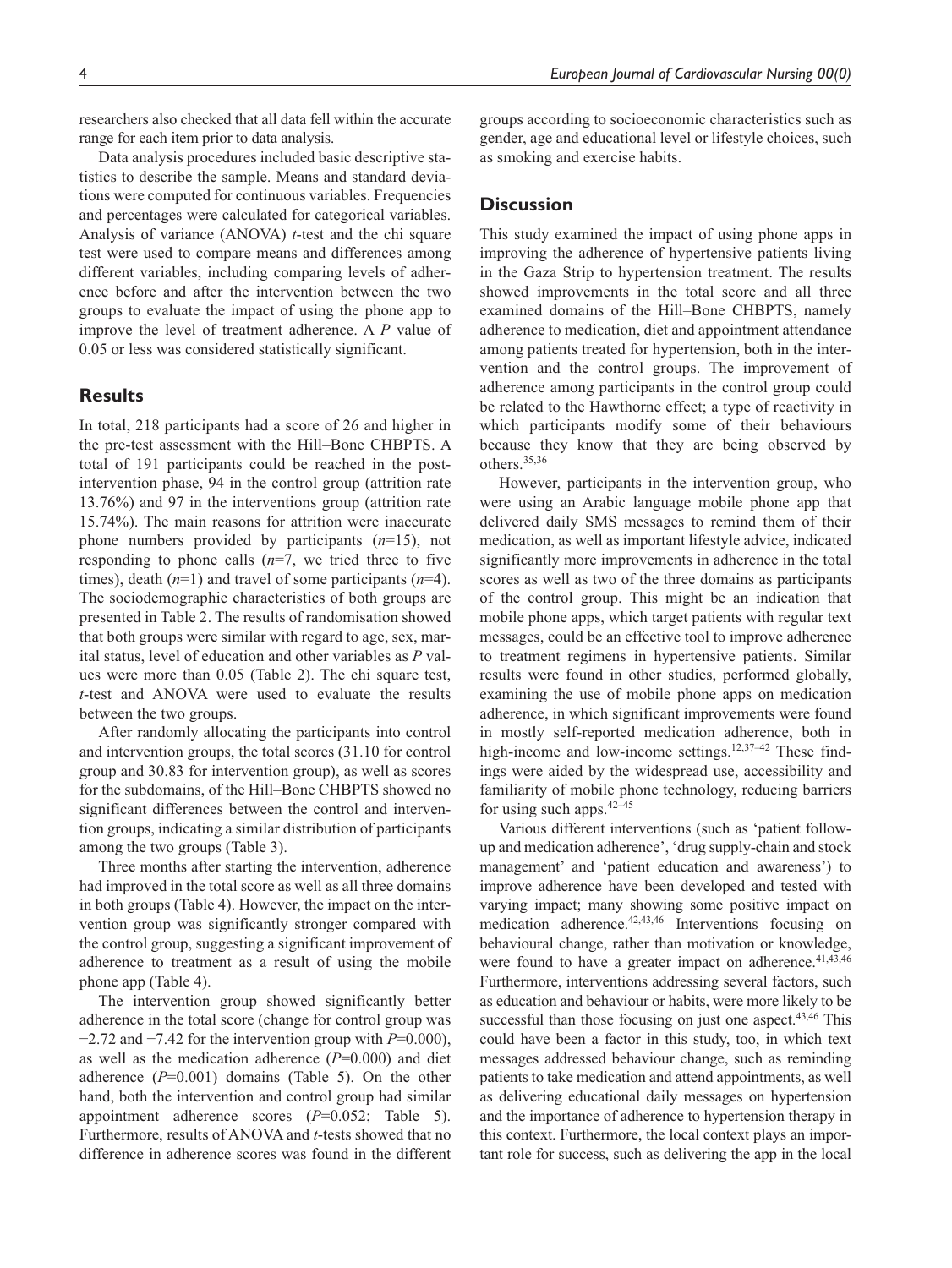researchers also checked that all data fell within the accurate range for each item prior to data analysis.

Data analysis procedures included basic descriptive statistics to describe the sample. Means and standard deviations were computed for continuous variables. Frequencies and percentages were calculated for categorical variables. Analysis of variance (ANOVA) *t*-test and the chi square test were used to compare means and differences among different variables, including comparing levels of adherence before and after the intervention between the two groups to evaluate the impact of using the phone app to improve the level of treatment adherence. A *P* value of 0.05 or less was considered statistically significant.

# **Results**

In total, 218 participants had a score of 26 and higher in the pre-test assessment with the Hill–Bone CHBPTS. A total of 191 participants could be reached in the postintervention phase, 94 in the control group (attrition rate 13.76%) and 97 in the interventions group (attrition rate 15.74%). The main reasons for attrition were inaccurate phone numbers provided by participants (*n*=15), not responding to phone calls  $(n=7)$ , we tried three to five times), death (*n*=1) and travel of some participants (*n*=4). The sociodemographic characteristics of both groups are presented in Table 2. The results of randomisation showed that both groups were similar with regard to age, sex, marital status, level of education and other variables as *P* values were more than 0.05 (Table 2). The chi square test, *t*-test and ANOVA were used to evaluate the results between the two groups.

After randomly allocating the participants into control and intervention groups, the total scores (31.10 for control group and 30.83 for intervention group), as well as scores for the subdomains, of the Hill–Bone CHBPTS showed no significant differences between the control and intervention groups, indicating a similar distribution of participants among the two groups (Table 3).

Three months after starting the intervention, adherence had improved in the total score as well as all three domains in both groups (Table 4). However, the impact on the intervention group was significantly stronger compared with the control group, suggesting a significant improvement of adherence to treatment as a result of using the mobile phone app (Table 4).

The intervention group showed significantly better adherence in the total score (change for control group was −2.72 and −7.42 for the intervention group with *P*=0.000), as well as the medication adherence (*P*=0.000) and diet adherence (*P*=0.001) domains (Table 5). On the other hand, both the intervention and control group had similar appointment adherence scores (*P*=0.052; Table 5). Furthermore, results of ANOVA and *t*-tests showed that no difference in adherence scores was found in the different groups according to socioeconomic characteristics such as gender, age and educational level or lifestyle choices, such as smoking and exercise habits.

# **Discussion**

This study examined the impact of using phone apps in improving the adherence of hypertensive patients living in the Gaza Strip to hypertension treatment. The results showed improvements in the total score and all three examined domains of the Hill–Bone CHBPTS, namely adherence to medication, diet and appointment attendance among patients treated for hypertension, both in the intervention and the control groups. The improvement of adherence among participants in the control group could be related to the Hawthorne effect; a type of reactivity in which participants modify some of their behaviours because they know that they are being observed by others.35,36

However, participants in the intervention group, who were using an Arabic language mobile phone app that delivered daily SMS messages to remind them of their medication, as well as important lifestyle advice, indicated significantly more improvements in adherence in the total scores as well as two of the three domains as participants of the control group. This might be an indication that mobile phone apps, which target patients with regular text messages, could be an effective tool to improve adherence to treatment regimens in hypertensive patients. Similar results were found in other studies, performed globally, examining the use of mobile phone apps on medication adherence, in which significant improvements were found in mostly self-reported medication adherence, both in high-income and low-income settings.<sup>12,37–42</sup> These findings were aided by the widespread use, accessibility and familiarity of mobile phone technology, reducing barriers for using such apps.  $42-45$ 

Various different interventions (such as 'patient followup and medication adherence', 'drug supply-chain and stock management' and 'patient education and awareness') to improve adherence have been developed and tested with varying impact; many showing some positive impact on medication adherence.<sup>42,43,46</sup> Interventions focusing on behavioural change, rather than motivation or knowledge, were found to have a greater impact on adherence.<sup>41,43,46</sup> Furthermore, interventions addressing several factors, such as education and behaviour or habits, were more likely to be successful than those focusing on just one aspect. $43,46$  This could have been a factor in this study, too, in which text messages addressed behaviour change, such as reminding patients to take medication and attend appointments, as well as delivering educational daily messages on hypertension and the importance of adherence to hypertension therapy in this context. Furthermore, the local context plays an important role for success, such as delivering the app in the local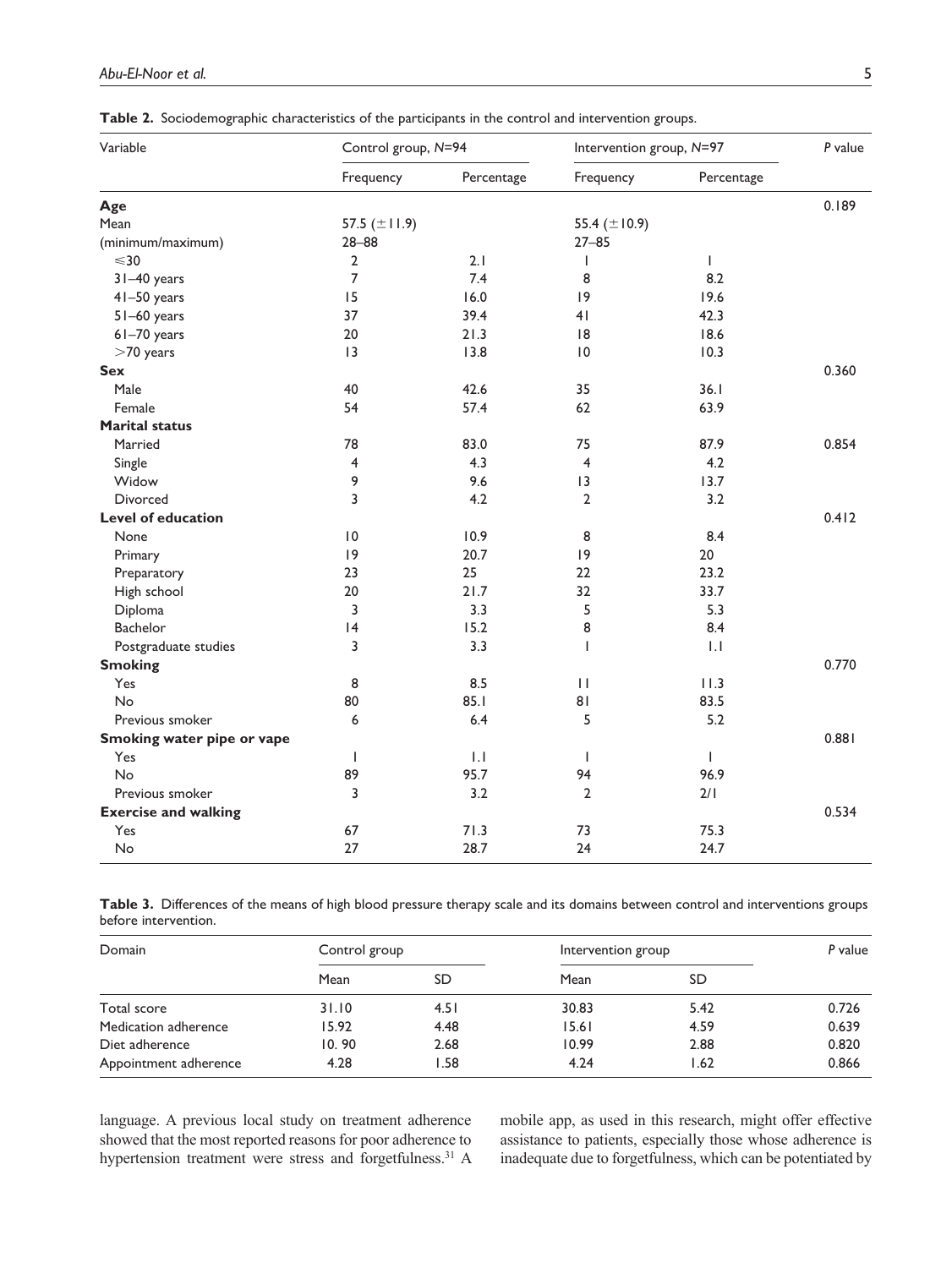**Table 2.** Sociodemographic characteristics of the participants in the control and intervention groups.

| Variable                    | Control group, N=94 |            | Intervention group, N=97 |              | P value |
|-----------------------------|---------------------|------------|--------------------------|--------------|---------|
|                             | Frequency           | Percentage | Frequency                | Percentage   |         |
| Age                         |                     |            |                          |              | 0.189   |
| Mean                        | 57.5 $(\pm 11.9)$   |            | 55.4 $(\pm 10.9)$        |              |         |
| (minimum/maximum)           | $28 - 88$           |            | $27 - 85$                |              |         |
| $\leq 30$                   | $\overline{2}$      | 2.1        | T                        | $\mathsf{I}$ |         |
| 31-40 years                 | 7                   | 7.4        | 8                        | 8.2          |         |
| 41-50 years                 | 15                  | 16.0       | 9                        | 19.6         |         |
| 51-60 years                 | 37                  | 39.4       | 41                       | 42.3         |         |
| 61-70 years                 | 20                  | 21.3       | 8                        | 18.6         |         |
| $>70$ years                 | 13                  | 13.8       | 0                        | 10.3         |         |
| <b>Sex</b>                  |                     |            |                          |              | 0.360   |
| Male                        | 40                  | 42.6       | 35                       | 36.1         |         |
| Female                      | 54                  | 57.4       | 62                       | 63.9         |         |
| <b>Marital status</b>       |                     |            |                          |              |         |
| Married                     | 78                  | 83.0       | 75                       | 87.9         | 0.854   |
| Single                      | 4                   | 4.3        | $\overline{4}$           | 4.2          |         |
| Widow                       | 9                   | 9.6        | 3                        | 13.7         |         |
| <b>Divorced</b>             | 3                   | 4.2        | $\overline{\mathbf{2}}$  | 3.2          |         |
| <b>Level of education</b>   |                     |            |                          |              | 0.412   |
| None                        | $\overline{10}$     | 10.9       | 8                        | 8.4          |         |
| Primary                     | 9                   | 20.7       | 9                        | 20           |         |
| Preparatory                 | 23                  | 25         | 22                       | 23.2         |         |
| High school                 | 20                  | 21.7       | 32                       | 33.7         |         |
| Diploma                     | 3                   | 3.3        | 5                        | 5.3          |         |
| Bachelor                    | 4                   | 15.2       | 8                        | 8.4          |         |
| Postgraduate studies        | 3                   | 3.3        | т                        | 1.1          |         |
| <b>Smoking</b>              |                     |            |                          |              | 0.770   |
| Yes                         | 8                   | 8.5        | $\mathbf{H}$             | 11.3         |         |
| No                          | 80                  | 85.1       | 81                       | 83.5         |         |
| Previous smoker             | 6                   | 6.4        | 5                        | 5.2          |         |
| Smoking water pipe or vape  |                     |            |                          |              | 0.881   |
| Yes                         | T                   | 1.1        | $\mathbf{I}$             | T            |         |
| No                          | 89                  | 95.7       | 94                       | 96.9         |         |
| Previous smoker             | 3                   | 3.2        | $\overline{2}$           | 2/1          |         |
| <b>Exercise and walking</b> |                     |            |                          |              | 0.534   |
| Yes                         | 67                  | 71.3       | 73                       | 75.3         |         |
| No                          | 27                  | 28.7       | 24                       | 24.7         |         |

**Table 3.** Differences of the means of high blood pressure therapy scale and its domains between control and interventions groups before intervention.

| Domain                | Control group |      | Intervention group |      | P value |
|-----------------------|---------------|------|--------------------|------|---------|
|                       | Mean          | SD   | Mean               | SD   |         |
| Total score           | 31.10         | 4.51 | 30.83              | 5.42 | 0.726   |
| Medication adherence  | 15.92         | 4.48 | 15.61              | 4.59 | 0.639   |
| Diet adherence        | 10.90         | 2.68 | 10.99              | 2.88 | 0.820   |
| Appointment adherence | 4.28          | .58  | 4.24               | 1.62 | 0.866   |

language. A previous local study on treatment adherence showed that the most reported reasons for poor adherence to hypertension treatment were stress and forgetfulness.<sup>31</sup> A mobile app, as used in this research, might offer effective assistance to patients, especially those whose adherence is inadequate due to forgetfulness, which can be potentiated by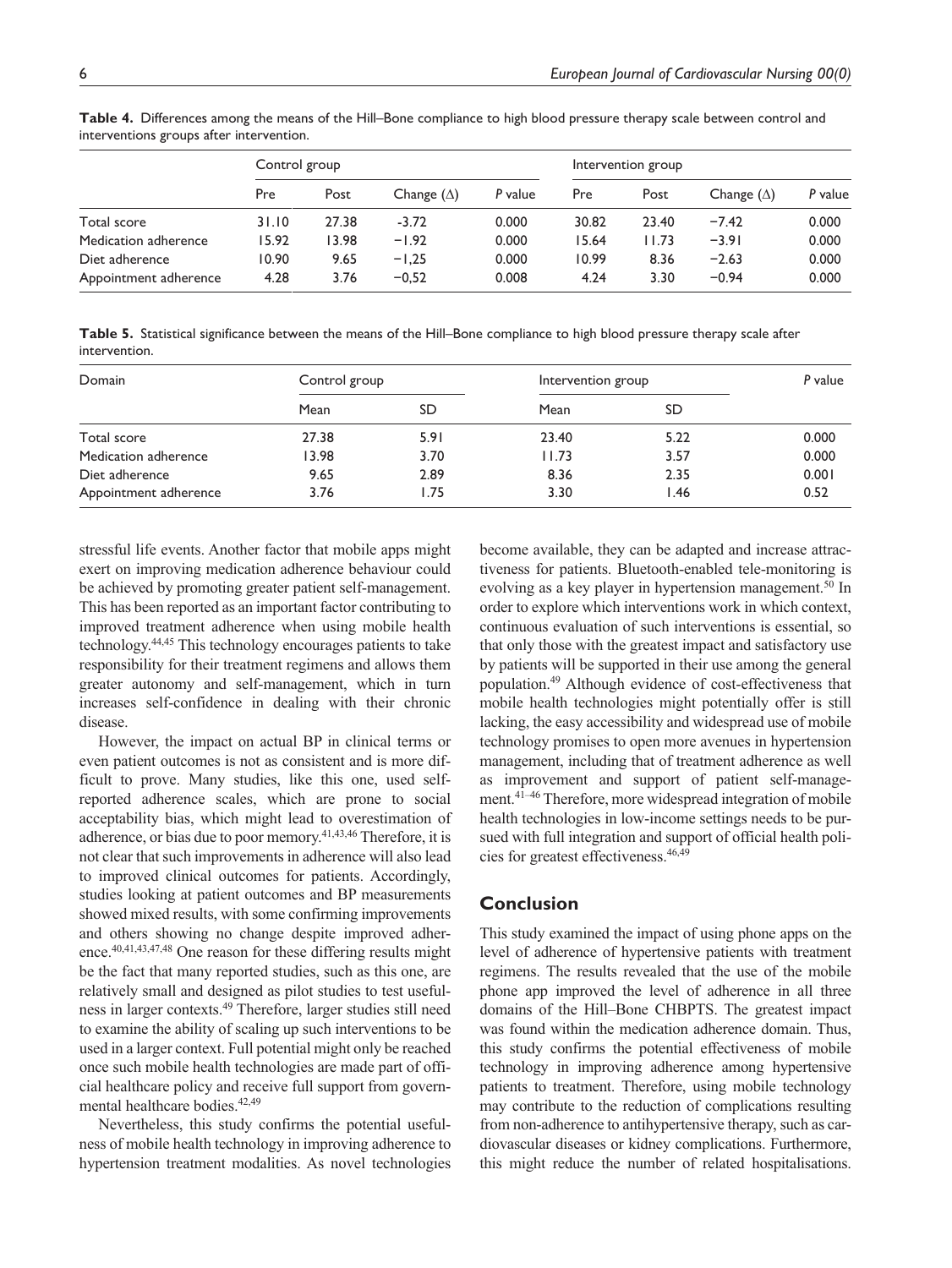|                       | Control group |       |                   |         | Intervention group |       |                   |         |
|-----------------------|---------------|-------|-------------------|---------|--------------------|-------|-------------------|---------|
|                       | Pre           | Post  | Change $(\Delta)$ | P value | Pre                | Post  | Change $(\Delta)$ | P value |
| Total score           | 31.10         | 27.38 | $-3.72$           | 0.000   | 30.82              | 23.40 | $-7.42$           | 0.000   |
| Medication adherence  | 15.92         | 13.98 | $-1.92$           | 0.000   | 15.64              | 11.73 | $-3.91$           | 0.000   |
| Diet adherence        | 10.90         | 9.65  | $-1.25$           | 0.000   | 10.99              | 8.36  | $-2.63$           | 0.000   |
| Appointment adherence | 4.28          | 3.76  | $-0.52$           | 0.008   | 4.24               | 3.30  | $-0.94$           | 0.000   |

**Table 4.** Differences among the means of the Hill–Bone compliance to high blood pressure therapy scale between control and interventions groups after intervention.

**Table 5.** Statistical significance between the means of the Hill–Bone compliance to high blood pressure therapy scale after intervention.

| Domain                | Control group |      | Intervention group |      | P value |  |
|-----------------------|---------------|------|--------------------|------|---------|--|
|                       | Mean          | SD   | Mean               | SD   |         |  |
| Total score           | 27.38         | 5.91 | 23.40              | 5.22 | 0.000   |  |
| Medication adherence  | 13.98         | 3.70 | 11.73              | 3.57 | 0.000   |  |
| Diet adherence        | 9.65          | 2.89 | 8.36               | 2.35 | 0.001   |  |
| Appointment adherence | 3.76          | l.75 | 3.30               | I.46 | 0.52    |  |

stressful life events. Another factor that mobile apps might exert on improving medication adherence behaviour could be achieved by promoting greater patient self-management. This has been reported as an important factor contributing to improved treatment adherence when using mobile health technology.44,45 This technology encourages patients to take responsibility for their treatment regimens and allows them greater autonomy and self-management, which in turn increases self-confidence in dealing with their chronic disease.

However, the impact on actual BP in clinical terms or even patient outcomes is not as consistent and is more difficult to prove. Many studies, like this one, used selfreported adherence scales, which are prone to social acceptability bias, which might lead to overestimation of adherence, or bias due to poor memory.<sup>41,43,46</sup> Therefore, it is not clear that such improvements in adherence will also lead to improved clinical outcomes for patients. Accordingly, studies looking at patient outcomes and BP measurements showed mixed results, with some confirming improvements and others showing no change despite improved adherence.40,41,43,47,48 One reason for these differing results might be the fact that many reported studies, such as this one, are relatively small and designed as pilot studies to test usefulness in larger contexts.49 Therefore, larger studies still need to examine the ability of scaling up such interventions to be used in a larger context. Full potential might only be reached once such mobile health technologies are made part of official healthcare policy and receive full support from governmental healthcare bodies.<sup>42,49</sup>

Nevertheless, this study confirms the potential usefulness of mobile health technology in improving adherence to hypertension treatment modalities. As novel technologies

become available, they can be adapted and increase attractiveness for patients. Bluetooth-enabled tele-monitoring is evolving as a key player in hypertension management.<sup>50</sup> In order to explore which interventions work in which context, continuous evaluation of such interventions is essential, so that only those with the greatest impact and satisfactory use by patients will be supported in their use among the general population.49 Although evidence of cost-effectiveness that mobile health technologies might potentially offer is still lacking, the easy accessibility and widespread use of mobile technology promises to open more avenues in hypertension management, including that of treatment adherence as well as improvement and support of patient self-management.41–46 Therefore, more widespread integration of mobile health technologies in low-income settings needs to be pursued with full integration and support of official health policies for greatest effectiveness.46,49

### **Conclusion**

This study examined the impact of using phone apps on the level of adherence of hypertensive patients with treatment regimens. The results revealed that the use of the mobile phone app improved the level of adherence in all three domains of the Hill–Bone CHBPTS. The greatest impact was found within the medication adherence domain. Thus, this study confirms the potential effectiveness of mobile technology in improving adherence among hypertensive patients to treatment. Therefore, using mobile technology may contribute to the reduction of complications resulting from non-adherence to antihypertensive therapy, such as cardiovascular diseases or kidney complications. Furthermore, this might reduce the number of related hospitalisations.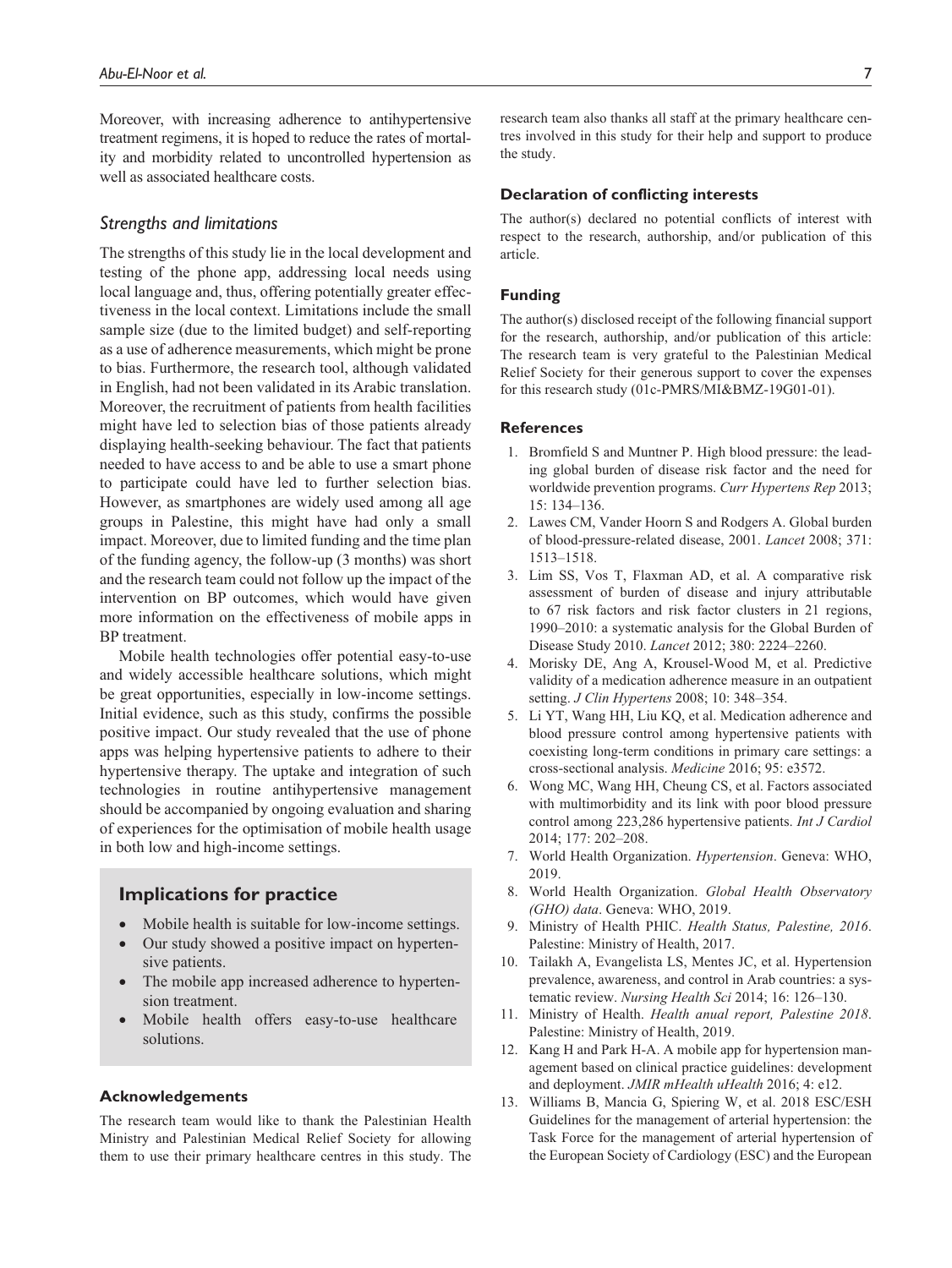Moreover, with increasing adherence to antihypertensive treatment regimens, it is hoped to reduce the rates of mortality and morbidity related to uncontrolled hypertension as well as associated healthcare costs.

### *Strengths and limitations*

The strengths of this study lie in the local development and testing of the phone app, addressing local needs using local language and, thus, offering potentially greater effectiveness in the local context. Limitations include the small sample size (due to the limited budget) and self-reporting as a use of adherence measurements, which might be prone to bias. Furthermore, the research tool, although validated in English, had not been validated in its Arabic translation. Moreover, the recruitment of patients from health facilities might have led to selection bias of those patients already displaying health-seeking behaviour. The fact that patients needed to have access to and be able to use a smart phone to participate could have led to further selection bias. However, as smartphones are widely used among all age groups in Palestine, this might have had only a small impact. Moreover, due to limited funding and the time plan of the funding agency, the follow-up (3 months) was short and the research team could not follow up the impact of the intervention on BP outcomes, which would have given more information on the effectiveness of mobile apps in BP treatment.

Mobile health technologies offer potential easy-to-use and widely accessible healthcare solutions, which might be great opportunities, especially in low-income settings. Initial evidence, such as this study, confirms the possible positive impact. Our study revealed that the use of phone apps was helping hypertensive patients to adhere to their hypertensive therapy. The uptake and integration of such technologies in routine antihypertensive management should be accompanied by ongoing evaluation and sharing of experiences for the optimisation of mobile health usage in both low and high-income settings.

# **Implications for practice**

- Mobile health is suitable for low-income settings.
- Our study showed a positive impact on hypertensive patients.
- The mobile app increased adherence to hypertension treatment.
- Mobile health offers easy-to-use healthcare solutions.

### **Acknowledgements**

The research team would like to thank the Palestinian Health Ministry and Palestinian Medical Relief Society for allowing them to use their primary healthcare centres in this study. The research team also thanks all staff at the primary healthcare centres involved in this study for their help and support to produce the study.

#### **Declaration of conflicting interests**

The author(s) declared no potential conflicts of interest with respect to the research, authorship, and/or publication of this article.

### **Funding**

The author(s) disclosed receipt of the following financial support for the research, authorship, and/or publication of this article: The research team is very grateful to the Palestinian Medical Relief Society for their generous support to cover the expenses for this research study (01c-PMRS/MI&BMZ-19G01-01).

#### **References**

- 1. Bromfield S and Muntner P. High blood pressure: the leading global burden of disease risk factor and the need for worldwide prevention programs. *Curr Hypertens Rep* 2013; 15: 134–136.
- 2. Lawes CM, Vander Hoorn S and Rodgers A. Global burden of blood-pressure-related disease, 2001. *Lancet* 2008; 371: 1513–1518.
- 3. Lim SS, Vos T, Flaxman AD, et al. A comparative risk assessment of burden of disease and injury attributable to 67 risk factors and risk factor clusters in 21 regions, 1990–2010: a systematic analysis for the Global Burden of Disease Study 2010. *Lancet* 2012; 380: 2224–2260.
- 4. Morisky DE, Ang A, Krousel-Wood M, et al. Predictive validity of a medication adherence measure in an outpatient setting. *J Clin Hypertens* 2008; 10: 348–354.
- 5. Li YT, Wang HH, Liu KQ, et al. Medication adherence and blood pressure control among hypertensive patients with coexisting long-term conditions in primary care settings: a cross-sectional analysis. *Medicine* 2016; 95: e3572.
- 6. Wong MC, Wang HH, Cheung CS, et al. Factors associated with multimorbidity and its link with poor blood pressure control among 223,286 hypertensive patients. *Int J Cardiol* 2014; 177: 202–208.
- 7. World Health Organization. *Hypertension*. Geneva: WHO, 2019.
- 8. World Health Organization. *Global Health Observatory (GHO) data*. Geneva: WHO, 2019.
- 9. Ministry of Health PHIC. *Health Status, Palestine, 2016*. Palestine: Ministry of Health, 2017.
- 10. Tailakh A, Evangelista LS, Mentes JC, et al. Hypertension prevalence, awareness, and control in Arab countries: a systematic review. *Nursing Health Sci* 2014; 16: 126–130.
- 11. Ministry of Health. *Health anual report, Palestine 2018*. Palestine: Ministry of Health, 2019.
- 12. Kang H and Park H-A. A mobile app for hypertension management based on clinical practice guidelines: development and deployment. *JMIR mHealth uHealth* 2016; 4: e12.
- 13. Williams B, Mancia G, Spiering W, et al. 2018 ESC/ESH Guidelines for the management of arterial hypertension: the Task Force for the management of arterial hypertension of the European Society of Cardiology (ESC) and the European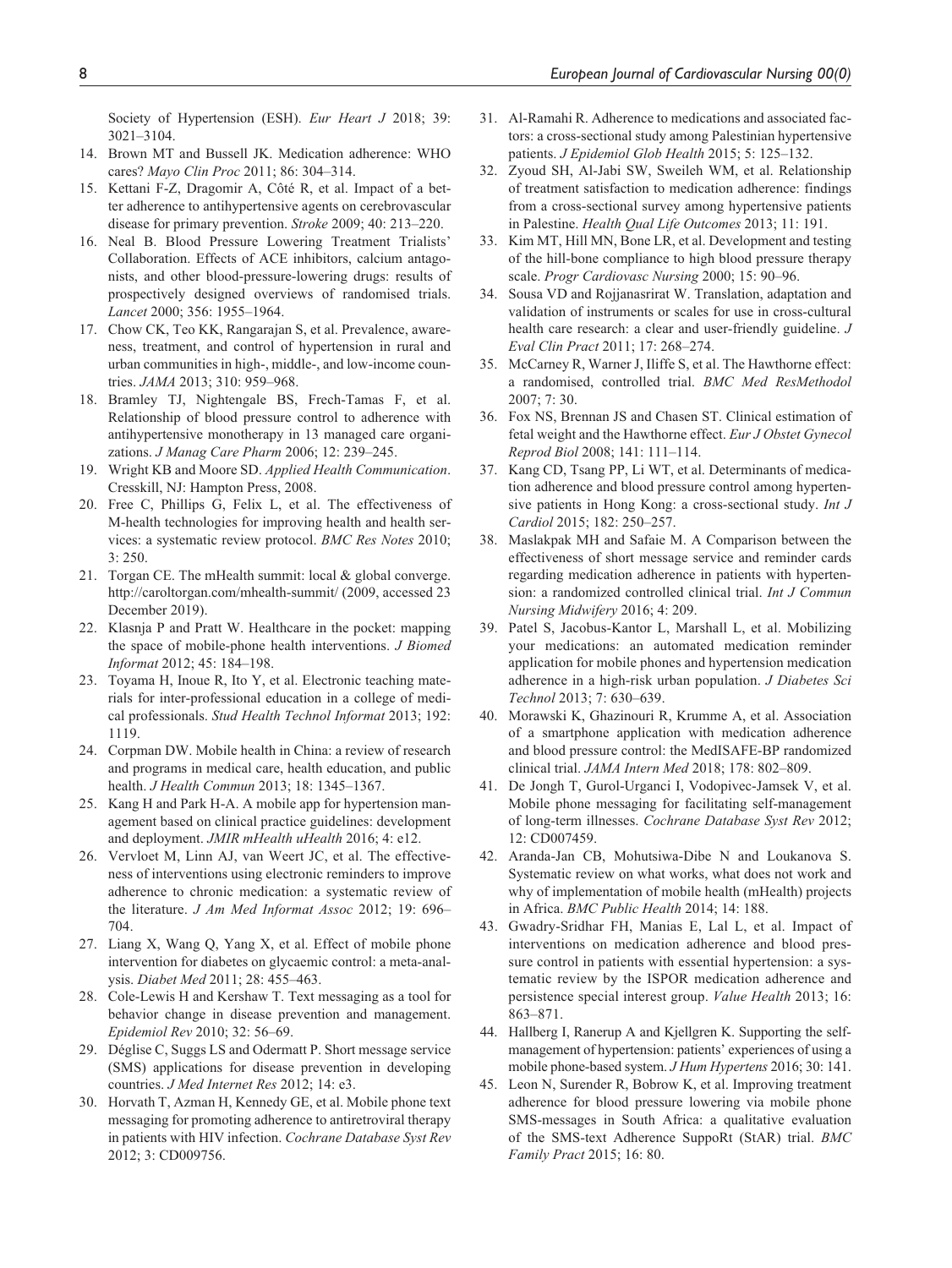Society of Hypertension (ESH). *Eur Heart J* 2018; 39: 3021–3104.

- 14. Brown MT and Bussell JK. Medication adherence: WHO cares? *Mayo Clin Proc* 2011; 86: 304–314.
- 15. Kettani F-Z, Dragomir A, Côté R, et al. Impact of a better adherence to antihypertensive agents on cerebrovascular disease for primary prevention. *Stroke* 2009; 40: 213–220.
- 16. Neal B. Blood Pressure Lowering Treatment Trialists' Collaboration. Effects of ACE inhibitors, calcium antagonists, and other blood-pressure-lowering drugs: results of prospectively designed overviews of randomised trials. *Lancet* 2000; 356: 1955–1964.
- 17. Chow CK, Teo KK, Rangarajan S, et al. Prevalence, awareness, treatment, and control of hypertension in rural and urban communities in high-, middle-, and low-income countries. *JAMA* 2013; 310: 959–968.
- 18. Bramley TJ, Nightengale BS, Frech-Tamas F, et al. Relationship of blood pressure control to adherence with antihypertensive monotherapy in 13 managed care organizations. *J Manag Care Pharm* 2006; 12: 239–245.
- 19. Wright KB and Moore SD. *Applied Health Communication*. Cresskill, NJ: Hampton Press, 2008.
- 20. Free C, Phillips G, Felix L, et al. The effectiveness of M-health technologies for improving health and health services: a systematic review protocol. *BMC Res Notes* 2010; 3: 250.
- 21. Torgan CE. The mHealth summit: local & global converge. <http://caroltorgan.com/mhealth-summit/>(2009, accessed 23 December 2019).
- 22. Klasnja P and Pratt W. Healthcare in the pocket: mapping the space of mobile-phone health interventions. *J Biomed Informat* 2012; 45: 184–198.
- 23. Toyama H, Inoue R, Ito Y, et al. Electronic teaching materials for inter-professional education in a college of medical professionals. *Stud Health Technol Informat* 2013; 192: 1119.
- 24. Corpman DW. Mobile health in China: a review of research and programs in medical care, health education, and public health. *J Health Commun* 2013; 18: 1345–1367.
- 25. Kang H and Park H-A. A mobile app for hypertension management based on clinical practice guidelines: development and deployment. *JMIR mHealth uHealth* 2016; 4: e12.
- 26. Vervloet M, Linn AJ, van Weert JC, et al. The effectiveness of interventions using electronic reminders to improve adherence to chronic medication: a systematic review of the literature. *J Am Med Informat Assoc* 2012; 19: 696– 704.
- 27. Liang X, Wang Q, Yang X, et al. Effect of mobile phone intervention for diabetes on glycaemic control: a meta-analysis. *Diabet Med* 2011; 28: 455–463.
- 28. Cole-Lewis H and Kershaw T. Text messaging as a tool for behavior change in disease prevention and management. *Epidemiol Rev* 2010; 32: 56–69.
- 29. Déglise C, Suggs LS and Odermatt P. Short message service (SMS) applications for disease prevention in developing countries. *J Med Internet Res* 2012; 14: e3.
- 30. Horvath T, Azman H, Kennedy GE, et al. Mobile phone text messaging for promoting adherence to antiretroviral therapy in patients with HIV infection. *Cochrane Database Syst Rev* 2012; 3: CD009756.
- 31. Al-Ramahi R. Adherence to medications and associated factors: a cross-sectional study among Palestinian hypertensive patients. *J Epidemiol Glob Health* 2015; 5: 125–132.
- 32. Zyoud SH, Al-Jabi SW, Sweileh WM, et al. Relationship of treatment satisfaction to medication adherence: findings from a cross-sectional survey among hypertensive patients in Palestine. *Health Qual Life Outcomes* 2013; 11: 191.
- 33. Kim MT, Hill MN, Bone LR, et al. Development and testing of the hill-bone compliance to high blood pressure therapy scale. *Progr Cardiovasc Nursing* 2000; 15: 90–96.
- 34. Sousa VD and Rojjanasrirat W. Translation, adaptation and validation of instruments or scales for use in cross-cultural health care research: a clear and user-friendly guideline. *J Eval Clin Pract* 2011; 17: 268–274.
- 35. McCarney R, Warner J, Iliffe S, et al. The Hawthorne effect: a randomised, controlled trial. *BMC Med ResMethodol* 2007; 7: 30.
- 36. Fox NS, Brennan JS and Chasen ST. Clinical estimation of fetal weight and the Hawthorne effect. *Eur J Obstet Gynecol Reprod Biol* 2008; 141: 111–114.
- 37. Kang CD, Tsang PP, Li WT, et al. Determinants of medication adherence and blood pressure control among hypertensive patients in Hong Kong: a cross-sectional study. *Int J Cardiol* 2015; 182: 250–257.
- 38. Maslakpak MH and Safaie M. A Comparison between the effectiveness of short message service and reminder cards regarding medication adherence in patients with hypertension: a randomized controlled clinical trial. *Int J Commun Nursing Midwifery* 2016; 4: 209.
- 39. Patel S, Jacobus-Kantor L, Marshall L, et al. Mobilizing your medications: an automated medication reminder application for mobile phones and hypertension medication adherence in a high-risk urban population. *J Diabetes Sci Technol* 2013; 7: 630–639.
- 40. Morawski K, Ghazinouri R, Krumme A, et al. Association of a smartphone application with medication adherence and blood pressure control: the MedISAFE-BP randomized clinical trial. *JAMA Intern Med* 2018; 178: 802–809.
- 41. De Jongh T, Gurol-Urganci I, Vodopivec-Jamsek V, et al. Mobile phone messaging for facilitating self-management of long-term illnesses. *Cochrane Database Syst Rev* 2012; 12: CD007459.
- 42. Aranda-Jan CB, Mohutsiwa-Dibe N and Loukanova S. Systematic review on what works, what does not work and why of implementation of mobile health (mHealth) projects in Africa. *BMC Public Health* 2014; 14: 188.
- 43. Gwadry-Sridhar FH, Manias E, Lal L, et al. Impact of interventions on medication adherence and blood pressure control in patients with essential hypertension: a systematic review by the ISPOR medication adherence and persistence special interest group. *Value Health* 2013; 16: 863–871.
- 44. Hallberg I, Ranerup A and Kjellgren K. Supporting the selfmanagement of hypertension: patients' experiences of using a mobile phone-based system. *J Hum Hypertens* 2016; 30: 141.
- 45. Leon N, Surender R, Bobrow K, et al. Improving treatment adherence for blood pressure lowering via mobile phone SMS-messages in South Africa: a qualitative evaluation of the SMS-text Adherence SuppoRt (StAR) trial. *BMC Family Pract* 2015; 16: 80.